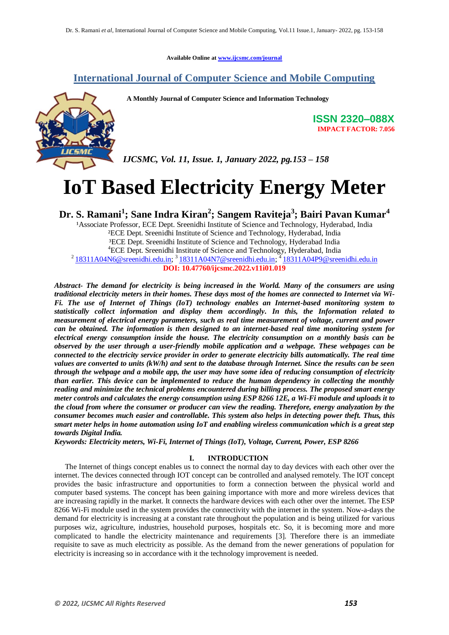**Available Online at [www.ijcsmc.com/journal](https://ijcsmc.com/journal)**

### **International Journal of Computer Science and Mobile Computing**



 **A Monthly Journal of Computer Science and Information Technology**

**ISSN 2320–088X IMPACT FACTOR: 7.056**

*IJCSMC, Vol. 11, Issue. 1, January 2022, pg.153 – 158*

# **IoT Based Electricity Energy Meter**

**Dr. S. Ramani<sup>1</sup> ; Sane Indra Kiran<sup>2</sup> ; Sangem Raviteja<sup>3</sup> ; Bairi Pavan Kumar<sup>4</sup>**

<sup>1</sup>Associate Professor, ECE Dept. Sreenidhi Institute of Science and Technology, Hyderabad, India ²ECE Dept. Sreenidhi Institute of Science and Technology, Hyderabad, India ³ECE Dept. Sreenidhi Institute of Science and Technology, Hyderabad India <sup>4</sup>ECE Dept. Sreenidhi Institute of Science and Technology, Hyderabad, India  $2^{2}$ [18311A04N6@sreenidhi.edu.in;](mailto:18311A04N6@sreenidhi.edu.in)  $3^{3}$ [18311A04N7@sreenidhi.edu.in;](mailto:18311A04N7@sreenidhi.edu.in)  $4^{4}$ [18311A04P9@sreenidhi.edu.in](mailto:18311A04P9@sreenidhi.edu.in) **DOI: 10.47760/ijcsmc.2022.v11i01.019**

*Abstract- The demand for electricity is being increased in the World. Many of the consumers are using traditional electricity meters in their homes. These days most of the homes are connected to Internet via Wi-Fi. The use of Internet of Things (IoT) technology enables an Internet-based monitoring system to statistically collect information and display them accordingly. In this, the Information related to measurement of electrical energy parameters, such as real time measurement of voltage, current and power can be obtained. The information is then designed to an internet-based real time monitoring system for electrical energy consumption inside the house. The electricity consumption on a monthly basis can be observed by the user through a user-friendly mobile application and a webpage. These webpages can be connected to the electricity service provider in order to generate electricity bills automatically. The real time values are converted to units (kW/h) and sent to the database through Internet. Since the results can be seen through the webpage and a mobile app, the user may have some idea of reducing consumption of electricity than earlier. This device can be implemented to reduce the human dependency in collecting the monthly reading and minimize the technical problems encountered during billing process. The proposed smart energy meter controls and calculates the energy consumption using ESP 8266 12E, a Wi-Fi module and uploads it to the cloud from where the consumer or producer can view the reading. Therefore, energy analyzation by the consumer becomes much easier and controllable. This system also helps in detecting power theft. Thus, this smart meter helps in home automation using IoT and enabling wireless communication which is a great step towards Digital India.*

*Keywords: Electricity meters, Wi-Fi, Internet of Things (IoT), Voltage, Current, Power, ESP 8266*

#### **I. INTRODUCTION**

The Internet of things concept enables us to connect the normal day to day devices with each other over the internet. The devices connected through IOT concept can be controlled and analysed remotely. The IOT concept provides the basic infrastructure and opportunities to form a connection between the physical world and computer based systems. The concept has been gaining importance with more and more wireless devices that are increasing rapidly in the market. It connects the hardware devices with each other over the internet. The ESP 8266 Wi-Fi module used in the system provides the connectivity with the internet in the system. Now-a-days the demand for electricity is increasing at a constant rate throughout the population and is being utilized for various purposes wiz, agriculture, industries, household purposes, hospitals etc. So, it is becoming more and more complicated to handle the electricity maintenance and requirements [3]. Therefore there is an immediate requisite to save as much electricity as possible. As the demand from the newer generations of population for electricity is increasing so in accordance with it the technology improvement is needed.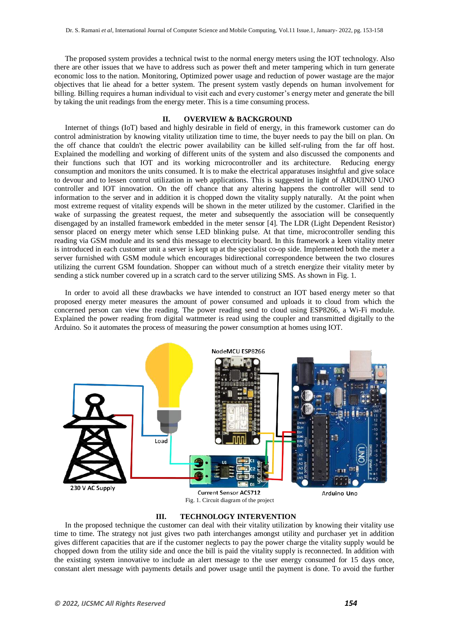The proposed system provides a technical twist to the normal energy meters using the IOT technology. Also there are other issues that we have to address such as power theft and meter tampering which in turn generate economic loss to the nation. Monitoring, Optimized power usage and reduction of power wastage are the major objectives that lie ahead for a better system. The present system vastly depends on human involvement for billing. Billing requires a human individual to visit each and every customer's energy meter and generate the bill by taking the unit readings from the energy meter. This is a time consuming process.

#### **II. OVERVIEW & BACKGROUND**

Internet of things (IoT) based and highly desirable in field of energy, in this framework customer can do control administration by knowing vitality utilization time to time, the buyer needs to pay the bill on plan. On the off chance that couldn't the electric power availability can be killed self-ruling from the far off host. Explained the modelling and working of different units of the system and also discussed the components and their functions such that IOT and its working microcontroller and its architecture. Reducing energy consumption and monitors the units consumed. It is to make the electrical apparatuses insightful and give solace to devour and to lessen control utilization in web applications. This is suggested in light of ARDUINO UNO controller and IOT innovation. On the off chance that any altering happens the controller will send to information to the server and in addition it is chopped down the vitality supply naturally. At the point when most extreme request of vitality expends will be shown in the meter utilized by the customer. Clarified in the wake of surpassing the greatest request, the meter and subsequently the association will be consequently disengaged by an installed framework embedded in the meter sensor [4]. The LDR (Light Dependent Resistor) sensor placed on energy meter which sense LED blinking pulse. At that time, microcontroller sending this reading via GSM module and its send this message to electricity board. In this framework a keen vitality meter is introduced in each customer unit a server is kept up at the specialist co-op side. Implemented both the meter a server furnished with GSM module which encourages bidirectional correspondence between the two closures utilizing the current GSM foundation. Shopper can without much of a stretch energize their vitality meter by sending a stick number covered up in a scratch card to the server utilizing SMS. As shown in Fig. 1.

In order to avoid all these drawbacks we have intended to construct an IOT based energy meter so that proposed energy meter measures the amount of power consumed and uploads it to cloud from which the concerned person can view the reading. The power reading send to cloud using ESP8266, a Wi-Fi module. Explained the power reading from digital wattmeter is read using the coupler and transmitted digitally to the Arduino. So it automates the process of measuring the power consumption at homes using IOT.



#### **III. TECHNOLOGY INTERVENTION**

In the proposed technique the customer can deal with their vitality utilization by knowing their vitality use time to time. The strategy not just gives two path interchanges amongst utility and purchaser yet in addition gives different capacities that are if the customer neglects to pay the power charge the vitality supply would be chopped down from the utility side and once the bill is paid the vitality supply is reconnected. In addition with the existing system innovative to include an alert message to the user energy consumed for 15 days once, constant alert message with payments details and power usage until the payment is done. To avoid the further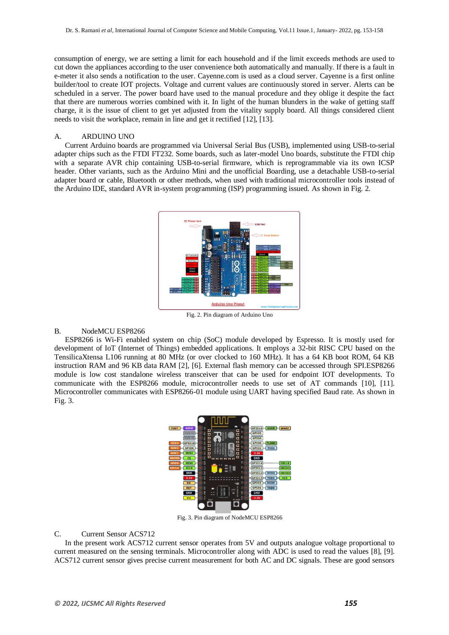consumption of energy, we are setting a limit for each household and if the limit exceeds methods are used to cut down the appliances according to the user convenience both automatically and manually. If there is a fault in e-meter it also sends a notification to the user. Cayenne.com is used as a cloud server. Cayenne is a first online builder/tool to create IOT projects. Voltage and current values are continuously stored in server. Alerts can be scheduled in a server. The power board have used to the manual procedure and they oblige it despite the fact that there are numerous worries combined with it. In light of the human blunders in the wake of getting staff charge, it is the issue of client to get yet adjusted from the vitality supply board. All things considered client needs to visit the workplace, remain in line and get it rectified [12], [13].

#### A. ARDUINO UNO

Current Arduino boards are programmed via Universal Serial Bus (USB), implemented using USB-to-serial adapter chips such as the FTDI FT232. Some boards, such as later-model Uno boards, substitute the FTDI chip with a separate AVR chip containing USB-to-serial firmware, which is reprogrammable via its own ICSP header. Other variants, such as the Arduino Mini and the unofficial Boarding, use a detachable USB-to-serial adapter board or cable, Bluetooth or other methods, when used with traditional microcontroller tools instead of the Arduino IDE, standard AVR in-system programming (ISP) programming issued. As shown in Fig. 2.



#### B. NodeMCU ESP8266

ESP8266 is Wi-Fi enabled system on chip (SoC) module developed by Espresso. It is mostly used for development of IoT (Internet of Things) embedded applications. It employs a 32-bit RISC CPU based on the TensilicaXtensa L106 running at 80 MHz (or over clocked to 160 MHz). It has a 64 KB boot ROM, 64 KB instruction RAM and 96 KB data RAM [2], [6]. External flash memory can be accessed through SPI.ESP8266 module is low cost standalone wireless transceiver that can be used for endpoint IOT developments. To communicate with the ESP8266 module, microcontroller needs to use set of AT commands [10], [11]. Microcontroller communicates with ESP8266-01 module using UART having specified Baud rate. As shown in Fig. 3.



Fig. 3. Pin diagram of NodeMCU ESP8266

#### C. Current Sensor ACS712

In the present work ACS712 current sensor operates from 5V and outputs analogue voltage proportional to current measured on the sensing terminals. Microcontroller along with ADC is used to read the values [8], [9]. ACS712 current sensor gives precise current measurement for both AC and DC signals. These are good sensors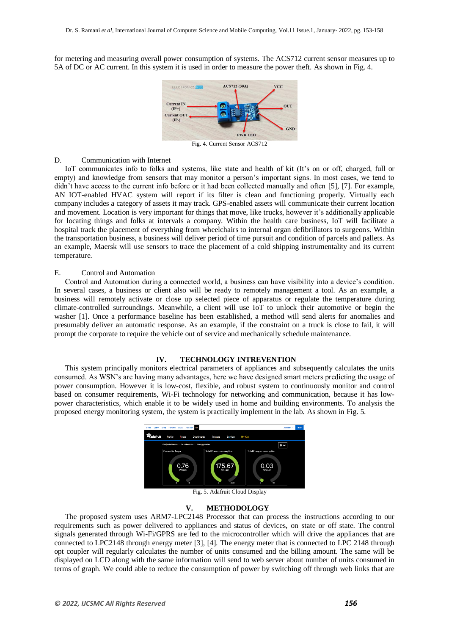for metering and measuring overall power consumption of systems. The ACS712 current sensor measures up to 5A of DC or AC current. In this system it is used in order to measure the power theft. As shown in Fig. 4.



Fig. 4. Current Sensor ACS712

#### D. Communication with Internet

IoT communicates info to folks and systems, like state and health of kit (It's on or off, charged, full or empty) and knowledge from sensors that may monitor a person's important signs. In most cases, we tend to didn't have access to the current info before or it had been collected manually and often [5], [7]. For example, AN IOT-enabled HVAC system will report if its filter is clean and functioning properly. Virtually each company includes a category of assets it may track. GPS-enabled assets will communicate their current location and movement. Location is very important for things that move, like trucks, however it's additionally applicable for locating things and folks at intervals a company. Within the health care business, IoT will facilitate a hospital track the placement of everything from wheelchairs to internal organ defibrillators to surgeons. Within the transportation business, a business will deliver period of time pursuit and condition of parcels and pallets. As an example, Maersk will use sensors to trace the placement of a cold shipping instrumentality and its current temperature.

#### E. Control and Automation

Control and Automation during a connected world, a business can have visibility into a device's condition. In several cases, a business or client also will be ready to remotely management a tool. As an example, a business will remotely activate or close up selected piece of apparatus or regulate the temperature during climate-controlled surroundings. Meanwhile, a client will use IoT to unlock their automotive or begin the washer [1]. Once a performance baseline has been established, a method will send alerts for anomalies and presumably deliver an automatic response. As an example, if the constraint on a truck is close to fail, it will prompt the corporate to require the vehicle out of service and mechanically schedule maintenance.

#### **IV. TECHNOLOGY INTREVENTION**

This system principally monitors electrical parameters of appliances and subsequently calculates the units consumed. As WSN's are having many advantages, here we have designed smart meters predicting the usage of power consumption. However it is low-cost, flexible, and robust system to continuously monitor and control based on consumer requirements, Wi-Fi technology for networking and communication, because it has lowpower characteristics, which enable it to be widely used in home and building environments. To analysis the proposed energy monitoring system, the system is practically implement in the lab. As shown in Fig. 5.



Fig. 5. Adafruit Cloud Display

#### **V. METHODOLOGY**

The proposed system uses ARM7-LPC2148 Processor that can process the instructions according to our requirements such as power delivered to appliances and status of devices, on state or off state. The control signals generated through Wi-Fi/GPRS are fed to the microcontroller which will drive the appliances that are connected to LPC2148 through energy meter [3], [4]. The energy meter that is connected to LPC 2148 through opt coupler will regularly calculates the number of units consumed and the billing amount. The same will be displayed on LCD along with the same information will send to web server about number of units consumed in terms of graph. We could able to reduce the consumption of power by switching off through web links that are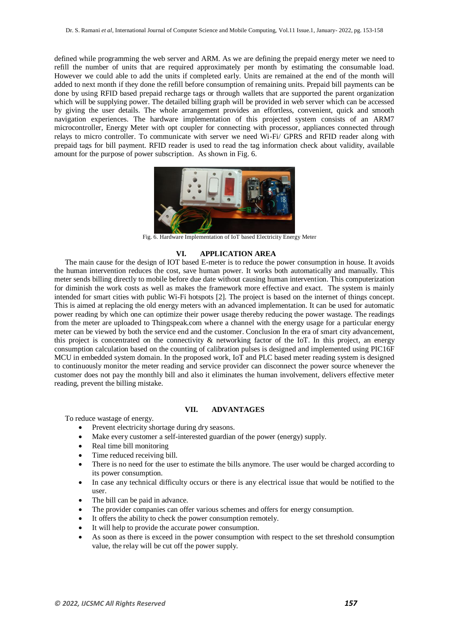defined while programming the web server and ARM. As we are defining the prepaid energy meter we need to refill the number of units that are required approximately per month by estimating the consumable load. However we could able to add the units if completed early. Units are remained at the end of the month will added to next month if they done the refill before consumption of remaining units. Prepaid bill payments can be done by using RFID based prepaid recharge tags or through wallets that are supported the parent organization which will be supplying power. The detailed billing graph will be provided in web server which can be accessed by giving the user details. The whole arrangement provides an effortless, convenient, quick and smooth navigation experiences. The hardware implementation of this projected system consists of an ARM7 microcontroller, Energy Meter with opt coupler for connecting with processor, appliances connected through relays to micro controller. To communicate with server we need Wi-Fi/ GPRS and RFID reader along with prepaid tags for bill payment. RFID reader is used to read the tag information check about validity, available amount for the purpose of power subscription. As shown in Fig. 6.



Fig. 6. Hardware Implementation of IoT based Electricity Energy Meter

#### **VI. APPLICATION AREA**

The main cause for the design of IOT based E-meter is to reduce the power consumption in house. It avoids the human intervention reduces the cost, save human power. It works both automatically and manually. This meter sends billing directly to mobile before due date without causing human intervention. This computerization for diminish the work costs as well as makes the framework more effective and exact. The system is mainly intended for smart cities with public Wi-Fi hotspots [2]. The project is based on the internet of things concept. This is aimed at replacing the old energy meters with an advanced implementation. It can be used for automatic power reading by which one can optimize their power usage thereby reducing the power wastage. The readings from the meter are uploaded to Thingspeak.com where a channel with the energy usage for a particular energy meter can be viewed by both the service end and the customer. Conclusion In the era of smart city advancement, this project is concentrated on the connectivity  $\&$  networking factor of the IoT. In this project, an energy consumption calculation based on the counting of calibration pulses is designed and implemented using PIC16F MCU in embedded system domain. In the proposed work, IoT and PLC based meter reading system is designed to continuously monitor the meter reading and service provider can disconnect the power source whenever the customer does not pay the monthly bill and also it eliminates the human involvement, delivers effective meter reading, prevent the billing mistake.

#### **VII. ADVANTAGES**

To reduce wastage of energy.

- Prevent electricity shortage during dry seasons.
- Make every customer a self-interested guardian of the power (energy) supply.
- Real time bill monitoring
- Time reduced receiving bill.
- There is no need for the user to estimate the bills anymore. The user would be charged according to its power consumption.
- In case any technical difficulty occurs or there is any electrical issue that would be notified to the user.
- The bill can be paid in advance.
- The provider companies can offer various schemes and offers for energy consumption.
- It offers the ability to check the power consumption remotely.
- It will help to provide the accurate power consumption.
- As soon as there is exceed in the power consumption with respect to the set threshold consumption value, the relay will be cut off the power supply.